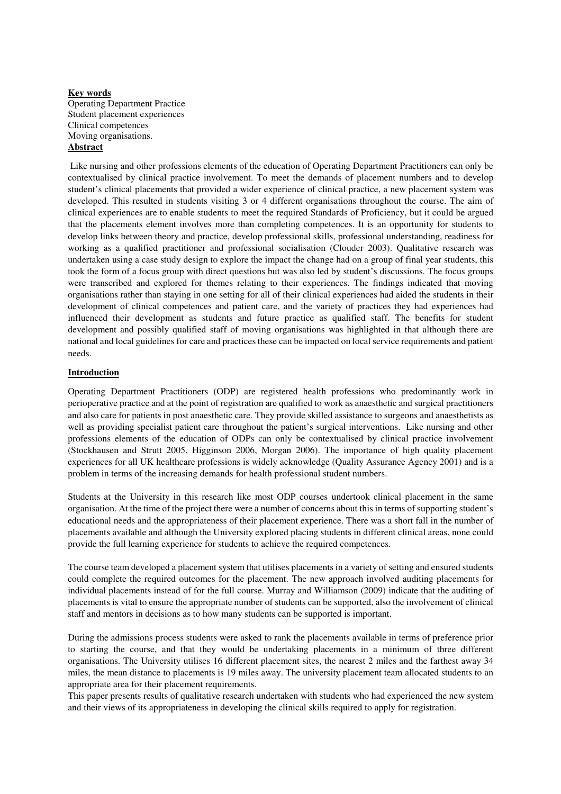### **Key words**  Operating Department Practice Student placement experiences Clinical competences Moving organisations. **Abstract**

 Like nursing and other professions elements of the education of Operating Department Practitioners can only be contextualised by clinical practice involvement. To meet the demands of placement numbers and to develop student's clinical placements that provided a wider experience of clinical practice, a new placement system was developed. This resulted in students visiting 3 or 4 different organisations throughout the course. The aim of clinical experiences are to enable students to meet the required Standards of Proficiency, but it could be argued that the placements element involves more than completing competences. It is an opportunity for students to develop links between theory and practice, develop professional skills, professional understanding, readiness for working as a qualified practitioner and professional socialisation (Clouder 2003). Qualitative research was undertaken using a case study design to explore the impact the change had on a group of final year students, this took the form of a focus group with direct questions but was also led by student's discussions. The focus groups were transcribed and explored for themes relating to their experiences. The findings indicated that moving organisations rather than staying in one setting for all of their clinical experiences had aided the students in their development of clinical competences and patient care, and the variety of practices they had experiences had influenced their development as students and future practice as qualified staff. The benefits for student development and possibly qualified staff of moving organisations was highlighted in that although there are national and local guidelines for care and practices these can be impacted on local service requirements and patient needs.

## **Introduction**

Operating Department Practitioners (ODP) are registered health professions who predominantly work in perioperative practice and at the point of registration are qualified to work as anaesthetic and surgical practitioners and also care for patients in post anaesthetic care. They provide skilled assistance to surgeons and anaesthetists as well as providing specialist patient care throughout the patient's surgical interventions. Like nursing and other professions elements of the education of ODPs can only be contextualised by clinical practice involvement (Stockhausen and Strutt 2005, Higginson 2006, Morgan 2006). The importance of high quality placement experiences for all UK healthcare professions is widely acknowledge (Quality Assurance Agency 2001) and is a problem in terms of the increasing demands for health professional student numbers.

Students at the University in this research like most ODP courses undertook clinical placement in the same organisation. At the time of the project there were a number of concerns about this in terms of supporting student's educational needs and the appropriateness of their placement experience. There was a short fall in the number of placements available and although the University explored placing students in different clinical areas, none could provide the full learning experience for students to achieve the required competences.

The course team developed a placement system that utilises placements in a variety of setting and ensured students could complete the required outcomes for the placement. The new approach involved auditing placements for individual placements instead of for the full course. Murray and Williamson (2009) indicate that the auditing of placements is vital to ensure the appropriate number of students can be supported, also the involvement of clinical staff and mentors in decisions as to how many students can be supported is important.

During the admissions process students were asked to rank the placements available in terms of preference prior to starting the course, and that they would be undertaking placements in a minimum of three different organisations. The University utilises 16 different placement sites, the nearest 2 miles and the farthest away 34 miles, the mean distance to placements is 19 miles away. The university placement team allocated students to an appropriate area for their placement requirements.

This paper presents results of qualitative research undertaken with students who had experienced the new system and their views of its appropriateness in developing the clinical skills required to apply for registration.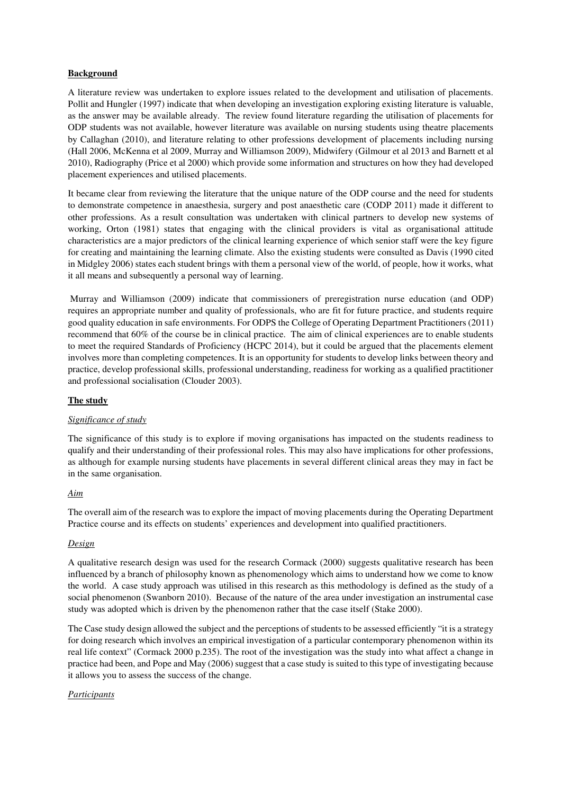# **Background**

A literature review was undertaken to explore issues related to the development and utilisation of placements. Pollit and Hungler (1997) indicate that when developing an investigation exploring existing literature is valuable, as the answer may be available already. The review found literature regarding the utilisation of placements for ODP students was not available, however literature was available on nursing students using theatre placements by Callaghan (2010), and literature relating to other professions development of placements including nursing (Hall 2006, McKenna et al 2009, Murray and Williamson 2009), Midwifery (Gilmour et al 2013 and Barnett et al 2010), Radiography (Price et al 2000) which provide some information and structures on how they had developed placement experiences and utilised placements.

It became clear from reviewing the literature that the unique nature of the ODP course and the need for students to demonstrate competence in anaesthesia, surgery and post anaesthetic care (CODP 2011) made it different to other professions. As a result consultation was undertaken with clinical partners to develop new systems of working, Orton (1981) states that engaging with the clinical providers is vital as organisational attitude characteristics are a major predictors of the clinical learning experience of which senior staff were the key figure for creating and maintaining the learning climate. Also the existing students were consulted as Davis (1990 cited in Midgley 2006) states each student brings with them a personal view of the world, of people, how it works, what it all means and subsequently a personal way of learning.

 Murray and Williamson (2009) indicate that commissioners of preregistration nurse education (and ODP) requires an appropriate number and quality of professionals, who are fit for future practice, and students require good quality education in safe environments. For ODPS the College of Operating Department Practitioners (2011) recommend that 60% of the course be in clinical practice. The aim of clinical experiences are to enable students to meet the required Standards of Proficiency (HCPC 2014), but it could be argued that the placements element involves more than completing competences. It is an opportunity for students to develop links between theory and practice, develop professional skills, professional understanding, readiness for working as a qualified practitioner and professional socialisation (Clouder 2003).

## **The study**

## *Significance of study*

The significance of this study is to explore if moving organisations has impacted on the students readiness to qualify and their understanding of their professional roles. This may also have implications for other professions, as although for example nursing students have placements in several different clinical areas they may in fact be in the same organisation.

## *Aim*

The overall aim of the research was to explore the impact of moving placements during the Operating Department Practice course and its effects on students' experiences and development into qualified practitioners.

#### *Design*

A qualitative research design was used for the research Cormack (2000) suggests qualitative research has been influenced by a branch of philosophy known as phenomenology which aims to understand how we come to know the world. A case study approach was utilised in this research as this methodology is defined as the study of a social phenomenon (Swanborn 2010). Because of the nature of the area under investigation an instrumental case study was adopted which is driven by the phenomenon rather that the case itself (Stake 2000).

The Case study design allowed the subject and the perceptions of students to be assessed efficiently "it is a strategy for doing research which involves an empirical investigation of a particular contemporary phenomenon within its real life context" (Cormack 2000 p.235). The root of the investigation was the study into what affect a change in practice had been, and Pope and May (2006) suggest that a case study is suited to this type of investigating because it allows you to assess the success of the change.

#### *Participants*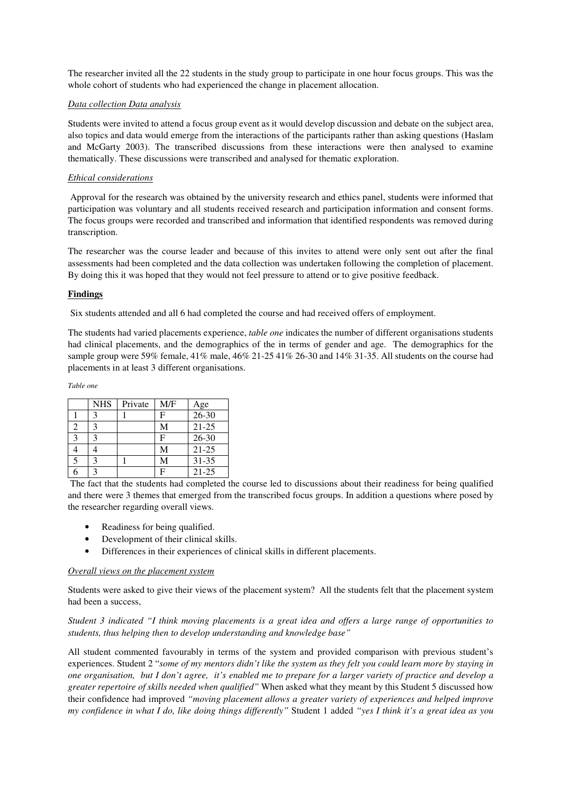The researcher invited all the 22 students in the study group to participate in one hour focus groups. This was the whole cohort of students who had experienced the change in placement allocation.

### *Data collection Data analysis*

Students were invited to attend a focus group event as it would develop discussion and debate on the subject area, also topics and data would emerge from the interactions of the participants rather than asking questions (Haslam and McGarty 2003). The transcribed discussions from these interactions were then analysed to examine thematically. These discussions were transcribed and analysed for thematic exploration.

### *Ethical considerations*

 Approval for the research was obtained by the university research and ethics panel, students were informed that participation was voluntary and all students received research and participation information and consent forms. The focus groups were recorded and transcribed and information that identified respondents was removed during transcription.

The researcher was the course leader and because of this invites to attend were only sent out after the final assessments had been completed and the data collection was undertaken following the completion of placement. By doing this it was hoped that they would not feel pressure to attend or to give positive feedback.

### **Findings**

Six students attended and all 6 had completed the course and had received offers of employment.

The students had varied placements experience, *table one* indicates the number of different organisations students had clinical placements, and the demographics of the in terms of gender and age. The demographics for the sample group were 59% female, 41% male, 46% 21-25 41% 26-30 and 14% 31-35. All students on the course had placements in at least 3 different organisations.

*Table one* 

|   | <b>NHS</b> | Private | M/F | Age       |
|---|------------|---------|-----|-----------|
|   | 3          |         | F   | $26 - 30$ |
| 2 | 3          |         | М   | $21 - 25$ |
| 3 | 3          |         | F   | $26 - 30$ |
|   |            |         | М   | $21 - 25$ |
| 5 | 3          |         | М   | $31 - 35$ |
| R | ς          |         | F   | $21 - 25$ |

 The fact that the students had completed the course led to discussions about their readiness for being qualified and there were 3 themes that emerged from the transcribed focus groups. In addition a questions where posed by the researcher regarding overall views.

- Readiness for being qualified.
- Development of their clinical skills.
- Differences in their experiences of clinical skills in different placements.

#### *Overall views on the placement system*

Students were asked to give their views of the placement system? All the students felt that the placement system had been a success,

*Student 3 indicated "I think moving placements is a great idea and offers a large range of opportunities to students, thus helping then to develop understanding and knowledge base"* 

All student commented favourably in terms of the system and provided comparison with previous student's experiences. Student 2 "*some of my mentors didn't like the system as they felt you could learn more by staying in one organisation, but I don't agree, it's enabled me to prepare for a larger variety of practice and develop a greater repertoire of skills needed when qualified"* When asked what they meant by this Student 5 discussed how their confidence had improved *"moving placement allows a greater variety of experiences and helped improve my confidence in what I do, like doing things differently"* Student 1 added *"yes I think it's a great idea as you*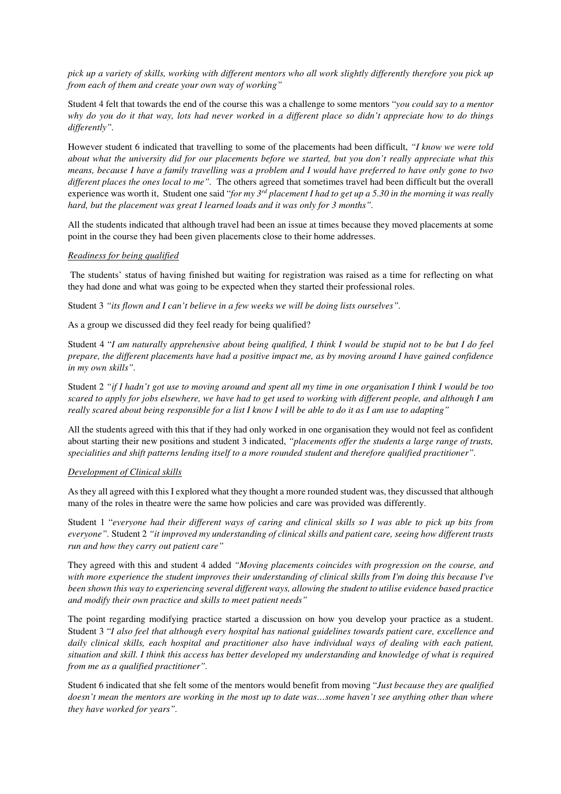*pick up a variety of skills, working with different mentors who all work slightly differently therefore you pick up from each of them and create your own way of working"*

Student 4 felt that towards the end of the course this was a challenge to some mentors "*you could say to a mentor why do you do it that way, lots had never worked in a different place so didn't appreciate how to do things differently".* 

However student 6 indicated that travelling to some of the placements had been difficult, *"I know we were told about what the university did for our placements before we started, but you don't really appreciate what this means, because I have a family travelling was a problem and I would have preferred to have only gone to two different places the ones local to me".* The others agreed that sometimes travel had been difficult but the overall experience was worth it, Student one said "*for my 3rd placement I had to get up a 5.30 in the morning it was really hard, but the placement was great I learned loads and it was only for 3 months".*

All the students indicated that although travel had been an issue at times because they moved placements at some point in the course they had been given placements close to their home addresses.

### *Readiness for being qualified*

 The students' status of having finished but waiting for registration was raised as a time for reflecting on what they had done and what was going to be expected when they started their professional roles.

Student 3 *"its flown and I can't believe in a few weeks we will be doing lists ourselves".* 

As a group we discussed did they feel ready for being qualified?

Student 4 "*I am naturally apprehensive about being qualified, I think I would be stupid not to be but I do feel prepare, the different placements have had a positive impact me, as by moving around I have gained confidence in my own skills".* 

Student 2 *"if I hadn't got use to moving around and spent all my time in one organisation I think I would be too scared to apply for jobs elsewhere, we have had to get used to working with different people, and although I am really scared about being responsible for a list I know I will be able to do it as I am use to adapting"* 

All the students agreed with this that if they had only worked in one organisation they would not feel as confident about starting their new positions and student 3 indicated, *"placements offer the students a large range of trusts, specialities and shift patterns lending itself to a more rounded student and therefore qualified practitioner".*

#### *Development of Clinical skills*

As they all agreed with this I explored what they thought a more rounded student was, they discussed that although many of the roles in theatre were the same how policies and care was provided was differently.

Student 1 "*everyone had their different ways of caring and clinical skills so I was able to pick up bits from everyone".* Student 2 *"it improved my understanding of clinical skills and patient care, seeing how different trusts run and how they carry out patient care"* 

They agreed with this and student 4 added *"Moving placements coincides with progression on the course, and with more experience the student improves their understanding of clinical skills from I'm doing this because I've been shown this way to experiencing several different ways, allowing the student to utilise evidence based practice and modify their own practice and skills to meet patient needs"* 

The point regarding modifying practice started a discussion on how you develop your practice as a student. Student 3 "*I also feel that although every hospital has national guidelines towards patient care, excellence and daily clinical skills, each hospital and practitioner also have individual ways of dealing with each patient, situation and skill. I think this access has better developed my understanding and knowledge of what is required from me as a qualified practitioner".*

Student 6 indicated that she felt some of the mentors would benefit from moving "*Just because they are qualified doesn't mean the mentors are working in the most up to date was…some haven't see anything other than where they have worked for years".*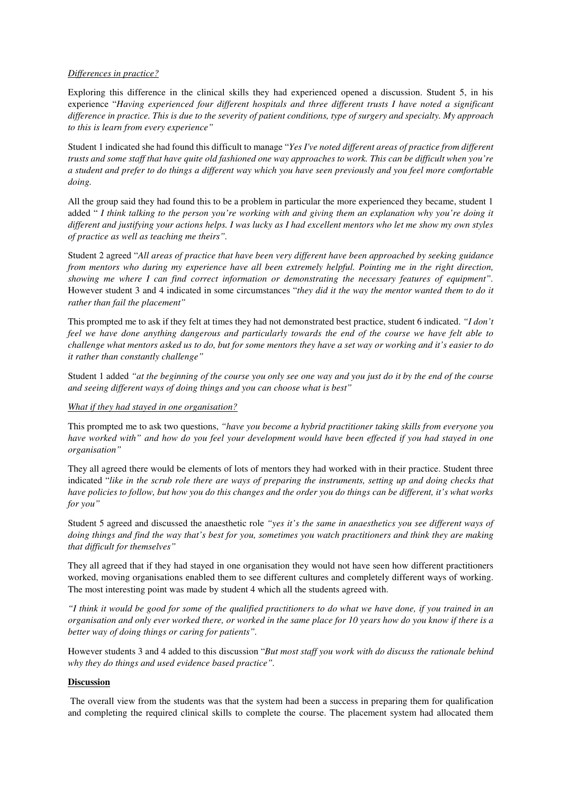### *Differences in practice?*

Exploring this difference in the clinical skills they had experienced opened a discussion. Student 5, in his experience "*Having experienced four different hospitals and three different trusts I have noted a significant difference in practice. This is due to the severity of patient conditions, type of surgery and specialty. My approach to this is learn from every experience"*

Student 1 indicated she had found this difficult to manage "*Yes I've noted different areas of practice from different trusts and some staff that have quite old fashioned one way approaches to work. This can be difficult when you're a student and prefer to do things a different way which you have seen previously and you feel more comfortable doing.* 

All the group said they had found this to be a problem in particular the more experienced they became, student 1 added " *I think talking to the person you're working with and giving them an explanation why you're doing it different and justifying your actions helps. I was lucky as I had excellent mentors who let me show my own styles of practice as well as teaching me theirs".* 

Student 2 agreed "*All areas of practice that have been very different have been approached by seeking guidance from mentors who during my experience have all been extremely helpful. Pointing me in the right direction, showing me where I can find correct information or demonstrating the necessary features of equipment".* However student 3 and 4 indicated in some circumstances "*they did it the way the mentor wanted them to do it rather than fail the placement"* 

This prompted me to ask if they felt at times they had not demonstrated best practice, student 6 indicated. *"I don't feel we have done anything dangerous and particularly towards the end of the course we have felt able to challenge what mentors asked us to do, but for some mentors they have a set way or working and it's easier to do it rather than constantly challenge"*

Student 1 added *"at the beginning of the course you only see one way and you just do it by the end of the course and seeing different ways of doing things and you can choose what is best"* 

#### *What if they had stayed in one organisation?*

This prompted me to ask two questions, *"have you become a hybrid practitioner taking skills from everyone you have worked with" and how do you feel your development would have been effected if you had stayed in one organisation"* 

They all agreed there would be elements of lots of mentors they had worked with in their practice. Student three indicated "*like in the scrub role there are ways of preparing the instruments, setting up and doing checks that have policies to follow, but how you do this changes and the order you do things can be different, it's what works for you"*

Student 5 agreed and discussed the anaesthetic role *"yes it's the same in anaesthetics you see different ways of doing things and find the way that's best for you, sometimes you watch practitioners and think they are making that difficult for themselves"* 

They all agreed that if they had stayed in one organisation they would not have seen how different practitioners worked, moving organisations enabled them to see different cultures and completely different ways of working. The most interesting point was made by student 4 which all the students agreed with.

*"I think it would be good for some of the qualified practitioners to do what we have done, if you trained in an organisation and only ever worked there, or worked in the same place for 10 years how do you know if there is a better way of doing things or caring for patients".*

However students 3 and 4 added to this discussion "*But most staff you work with do discuss the rationale behind why they do things and used evidence based practice".* 

## **Discussion**

 The overall view from the students was that the system had been a success in preparing them for qualification and completing the required clinical skills to complete the course. The placement system had allocated them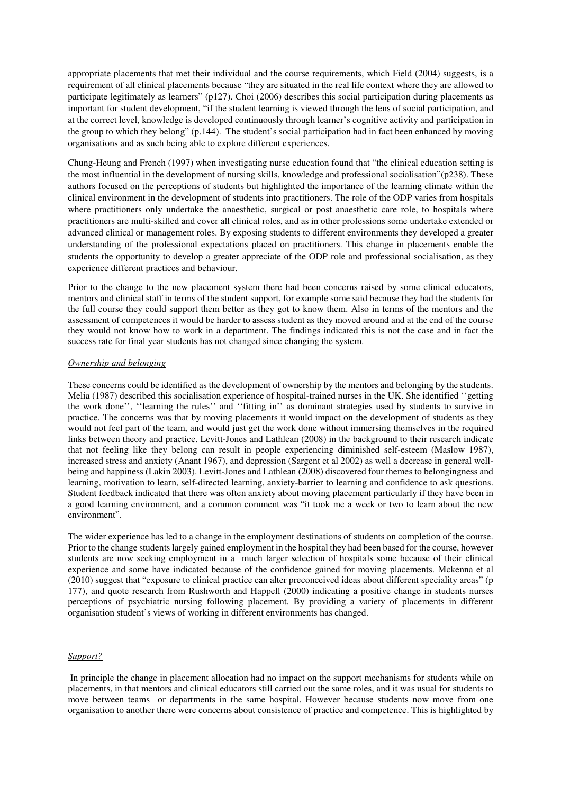appropriate placements that met their individual and the course requirements, which Field (2004) suggests, is a requirement of all clinical placements because "they are situated in the real life context where they are allowed to participate legitimately as learners" (p127). Choi (2006) describes this social participation during placements as important for student development, "if the student learning is viewed through the lens of social participation, and at the correct level, knowledge is developed continuously through learner's cognitive activity and participation in the group to which they belong" (p.144). The student's social participation had in fact been enhanced by moving organisations and as such being able to explore different experiences.

Chung-Heung and French (1997) when investigating nurse education found that "the clinical education setting is the most influential in the development of nursing skills, knowledge and professional socialisation"(p238). These authors focused on the perceptions of students but highlighted the importance of the learning climate within the clinical environment in the development of students into practitioners. The role of the ODP varies from hospitals where practitioners only undertake the anaesthetic, surgical or post anaesthetic care role, to hospitals where practitioners are multi-skilled and cover all clinical roles, and as in other professions some undertake extended or advanced clinical or management roles. By exposing students to different environments they developed a greater understanding of the professional expectations placed on practitioners. This change in placements enable the students the opportunity to develop a greater appreciate of the ODP role and professional socialisation, as they experience different practices and behaviour.

Prior to the change to the new placement system there had been concerns raised by some clinical educators, mentors and clinical staff in terms of the student support, for example some said because they had the students for the full course they could support them better as they got to know them. Also in terms of the mentors and the assessment of competences it would be harder to assess student as they moved around and at the end of the course they would not know how to work in a department. The findings indicated this is not the case and in fact the success rate for final year students has not changed since changing the system.

#### *Ownership and belonging*

These concerns could be identified as the development of ownership by the mentors and belonging by the students. Melia (1987) described this socialisation experience of hospital-trained nurses in the UK. She identified ''getting the work done'', ''learning the rules'' and ''fitting in'' as dominant strategies used by students to survive in practice. The concerns was that by moving placements it would impact on the development of students as they would not feel part of the team, and would just get the work done without immersing themselves in the required links between theory and practice. Levitt-Jones and Lathlean (2008) in the background to their research indicate that not feeling like they belong can result in people experiencing diminished self-esteem (Maslow 1987), increased stress and anxiety (Anant 1967), and depression (Sargent et al 2002) as well a decrease in general wellbeing and happiness (Lakin 2003). Levitt-Jones and Lathlean (2008) discovered four themes to belongingness and learning, motivation to learn, self-directed learning, anxiety-barrier to learning and confidence to ask questions. Student feedback indicated that there was often anxiety about moving placement particularly if they have been in a good learning environment, and a common comment was "it took me a week or two to learn about the new environment".

The wider experience has led to a change in the employment destinations of students on completion of the course. Prior to the change students largely gained employment in the hospital they had been based for the course, however students are now seeking employment in a much larger selection of hospitals some because of their clinical experience and some have indicated because of the confidence gained for moving placements. Mckenna et al (2010) suggest that "exposure to clinical practice can alter preconceived ideas about different speciality areas" (p 177), and quote research from Rushworth and Happell (2000) indicating a positive change in students nurses perceptions of psychiatric nursing following placement. By providing a variety of placements in different organisation student's views of working in different environments has changed.

#### *Support?*

 In principle the change in placement allocation had no impact on the support mechanisms for students while on placements, in that mentors and clinical educators still carried out the same roles, and it was usual for students to move between teams or departments in the same hospital. However because students now move from one organisation to another there were concerns about consistence of practice and competence. This is highlighted by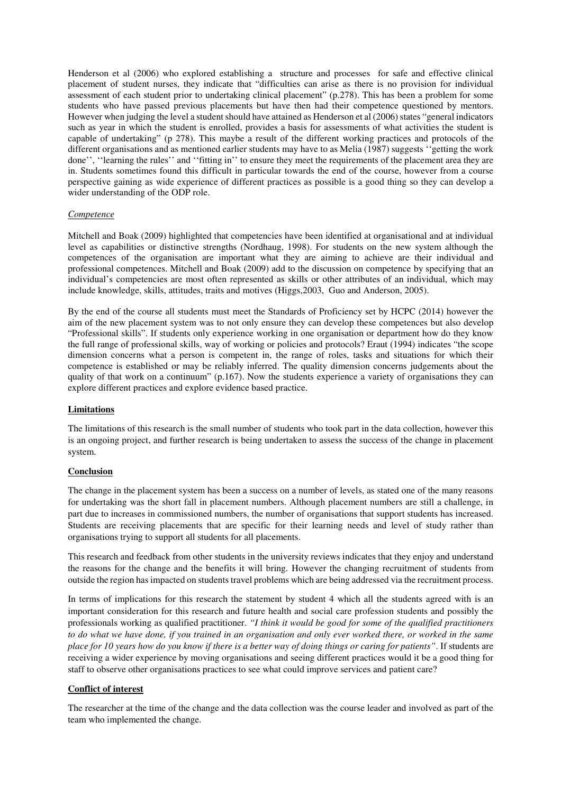Henderson et al (2006) who explored establishing a structure and processes for safe and effective clinical placement of student nurses, they indicate that "difficulties can arise as there is no provision for individual assessment of each student prior to undertaking clinical placement" (p.278). This has been a problem for some students who have passed previous placements but have then had their competence questioned by mentors. However when judging the level a student should have attained as Henderson et al (2006) states "general indicators such as year in which the student is enrolled, provides a basis for assessments of what activities the student is capable of undertaking" (p 278). This maybe a result of the different working practices and protocols of the different organisations and as mentioned earlier students may have to as Melia (1987) suggests ''getting the work done'', "learning the rules" and "fitting in" to ensure they meet the requirements of the placement area they are in. Students sometimes found this difficult in particular towards the end of the course, however from a course perspective gaining as wide experience of different practices as possible is a good thing so they can develop a wider understanding of the ODP role.

## *Competence*

Mitchell and Boak (2009) highlighted that competencies have been identified at organisational and at individual level as capabilities or distinctive strengths (Nordhaug, 1998). For students on the new system although the competences of the organisation are important what they are aiming to achieve are their individual and professional competences. Mitchell and Boak (2009) add to the discussion on competence by specifying that an individual's competencies are most often represented as skills or other attributes of an individual, which may include knowledge, skills, attitudes, traits and motives (Higgs,2003, Guo and Anderson, 2005).

By the end of the course all students must meet the Standards of Proficiency set by HCPC (2014) however the aim of the new placement system was to not only ensure they can develop these competences but also develop "Professional skills". If students only experience working in one organisation or department how do they know the full range of professional skills, way of working or policies and protocols? Eraut (1994) indicates "the scope dimension concerns what a person is competent in, the range of roles, tasks and situations for which their competence is established or may be reliably inferred. The quality dimension concerns judgements about the quality of that work on a continuum" (p.167). Now the students experience a variety of organisations they can explore different practices and explore evidence based practice.

## **Limitations**

The limitations of this research is the small number of students who took part in the data collection, however this is an ongoing project, and further research is being undertaken to assess the success of the change in placement system.

#### **Conclusion**

The change in the placement system has been a success on a number of levels, as stated one of the many reasons for undertaking was the short fall in placement numbers. Although placement numbers are still a challenge, in part due to increases in commissioned numbers, the number of organisations that support students has increased. Students are receiving placements that are specific for their learning needs and level of study rather than organisations trying to support all students for all placements.

This research and feedback from other students in the university reviews indicates that they enjoy and understand the reasons for the change and the benefits it will bring. However the changing recruitment of students from outside the region has impacted on students travel problems which are being addressed via the recruitment process.

In terms of implications for this research the statement by student 4 which all the students agreed with is an important consideration for this research and future health and social care profession students and possibly the professionals working as qualified practitioner. *"I think it would be good for some of the qualified practitioners to do what we have done, if you trained in an organisation and only ever worked there, or worked in the same place for 10 years how do you know if there is a better way of doing things or caring for patients"*. If students are receiving a wider experience by moving organisations and seeing different practices would it be a good thing for staff to observe other organisations practices to see what could improve services and patient care?

## **Conflict of interest**

The researcher at the time of the change and the data collection was the course leader and involved as part of the team who implemented the change.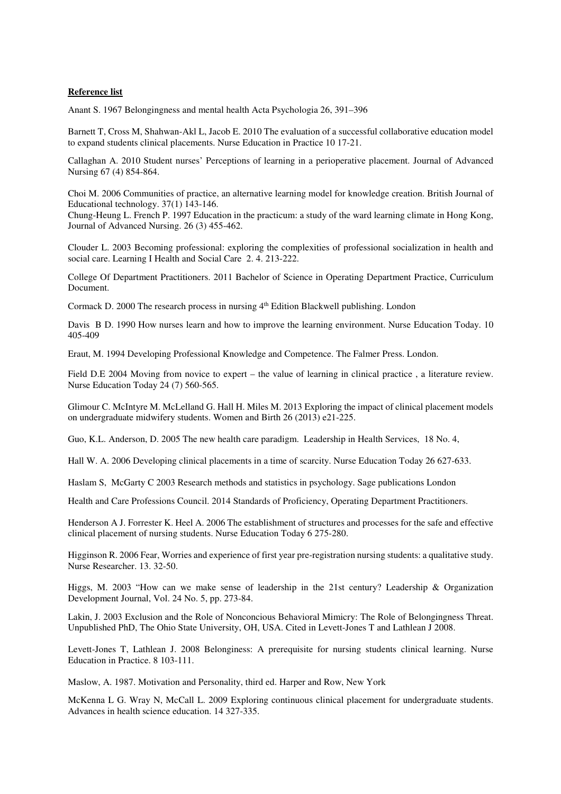### **Reference list**

Anant S. 1967 Belongingness and mental health Acta Psychologia 26, 391–396

Barnett T, Cross M, Shahwan-Akl L, Jacob E. 2010 The evaluation of a successful collaborative education model to expand students clinical placements. Nurse Education in Practice 10 17-21.

Callaghan A. 2010 Student nurses' Perceptions of learning in a perioperative placement. Journal of Advanced Nursing 67 (4) 854-864.

Choi M. 2006 Communities of practice, an alternative learning model for knowledge creation. British Journal of Educational technology. 37(1) 143-146.

Chung-Heung L. French P. 1997 Education in the practicum: a study of the ward learning climate in Hong Kong, Journal of Advanced Nursing. 26 (3) 455-462.

Clouder L. 2003 Becoming professional: exploring the complexities of professional socialization in health and social care. Learning I Health and Social Care 2. 4. 213-222.

College Of Department Practitioners. 2011 Bachelor of Science in Operating Department Practice, Curriculum Document.

Cormack D. 2000 The research process in nursing  $4<sup>th</sup>$  Edition Blackwell publishing. London

Davis B D. 1990 How nurses learn and how to improve the learning environment. Nurse Education Today. 10 405-409

Eraut, M. 1994 Developing Professional Knowledge and Competence. The Falmer Press. London.

Field D.E 2004 Moving from novice to expert – the value of learning in clinical practice , a literature review. Nurse Education Today 24 (7) 560-565.

Glimour C. McIntyre M. McLelland G. Hall H. Miles M. 2013 Exploring the impact of clinical placement models on undergraduate midwifery students. Women and Birth 26 (2013) e21-225.

Guo, K.L. Anderson, D. 2005 The new health care paradigm. Leadership in Health Services, 18 No. 4,

Hall W. A. 2006 Developing clinical placements in a time of scarcity. Nurse Education Today 26 627-633.

Haslam S, McGarty C 2003 Research methods and statistics in psychology. Sage publications London

Health and Care Professions Council. 2014 Standards of Proficiency, Operating Department Practitioners.

Henderson A J. Forrester K. Heel A. 2006 The establishment of structures and processes for the safe and effective clinical placement of nursing students. Nurse Education Today 6 275-280.

Higginson R. 2006 Fear, Worries and experience of first year pre-registration nursing students: a qualitative study. Nurse Researcher. 13. 32-50.

Higgs, M. 2003 "How can we make sense of leadership in the 21st century? Leadership & Organization Development Journal, Vol. 24 No. 5, pp. 273-84.

Lakin, J. 2003 Exclusion and the Role of Nonconcious Behavioral Mimicry: The Role of Belongingness Threat. Unpublished PhD, The Ohio State University, OH, USA. Cited in Levett-Jones T and Lathlean J 2008.

Levett-Jones T, Lathlean J. 2008 Belonginess: A prerequisite for nursing students clinical learning. Nurse Education in Practice. 8 103-111.

Maslow, A. 1987. Motivation and Personality, third ed. Harper and Row, New York

McKenna L G. Wray N, McCall L. 2009 Exploring continuous clinical placement for undergraduate students. Advances in health science education. 14 327-335.